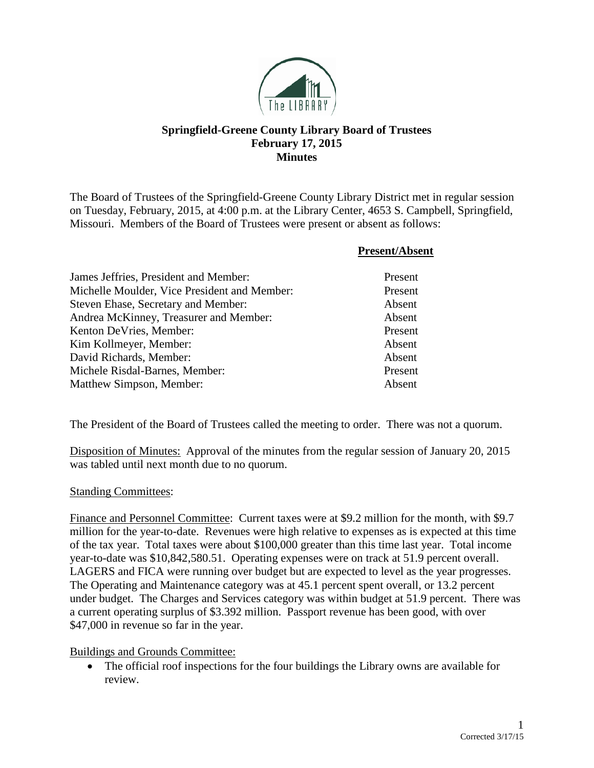

## **Springfield-Greene County Library Board of Trustees February 17, 2015 Minutes**

The Board of Trustees of the Springfield-Greene County Library District met in regular session on Tuesday, February, 2015, at 4:00 p.m. at the Library Center, 4653 S. Campbell, Springfield, Missouri. Members of the Board of Trustees were present or absent as follows:

|                                              | <b>Present/Absent</b> |
|----------------------------------------------|-----------------------|
| James Jeffries, President and Member:        | Present               |
| Michelle Moulder, Vice President and Member: | Present               |
| Steven Ehase, Secretary and Member:          | Absent                |
| Andrea McKinney, Treasurer and Member:       | Absent                |
| Kenton DeVries, Member:                      | Present               |
| Kim Kollmeyer, Member:                       | Absent                |
| David Richards, Member:                      | Absent                |
| Michele Risdal-Barnes, Member:               | Present               |
| Matthew Simpson, Member:                     | Absent                |

The President of the Board of Trustees called the meeting to order. There was not a quorum.

Disposition of Minutes: Approval of the minutes from the regular session of January 20, 2015 was tabled until next month due to no quorum.

## Standing Committees:

Finance and Personnel Committee: Current taxes were at \$9.2 million for the month, with \$9.7 million for the year-to-date. Revenues were high relative to expenses as is expected at this time of the tax year. Total taxes were about \$100,000 greater than this time last year. Total income year-to-date was \$10,842,580.51. Operating expenses were on track at 51.9 percent overall. LAGERS and FICA were running over budget but are expected to level as the year progresses. The Operating and Maintenance category was at 45.1 percent spent overall, or 13.2 percent under budget. The Charges and Services category was within budget at 51.9 percent. There was a current operating surplus of \$3.392 million. Passport revenue has been good, with over \$47,000 in revenue so far in the year.

## Buildings and Grounds Committee:

• The official roof inspections for the four buildings the Library owns are available for review.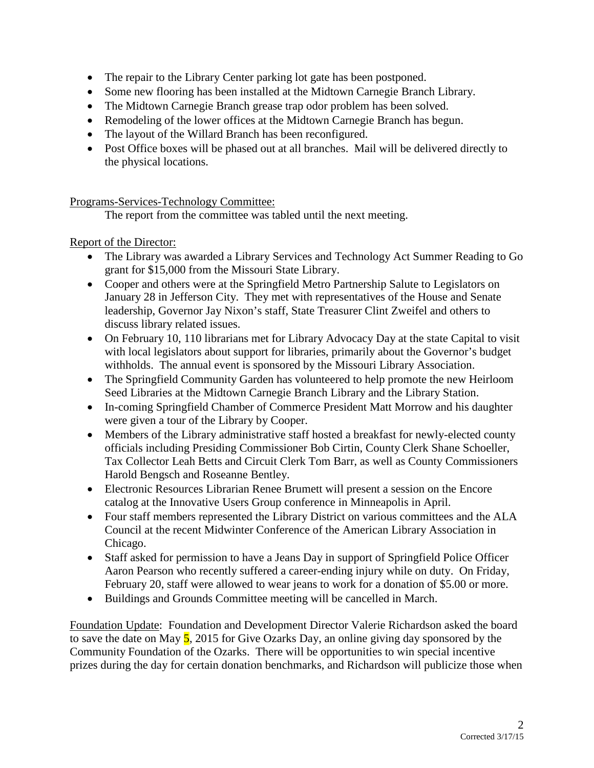- The repair to the Library Center parking lot gate has been postponed.
- Some new flooring has been installed at the Midtown Carnegie Branch Library.
- The Midtown Carnegie Branch grease trap odor problem has been solved.
- Remodeling of the lower offices at the Midtown Carnegie Branch has begun.
- The layout of the Willard Branch has been reconfigured.
- Post Office boxes will be phased out at all branches. Mail will be delivered directly to the physical locations.

Programs-Services-Technology Committee:

The report from the committee was tabled until the next meeting.

Report of the Director:

- The Library was awarded a Library Services and Technology Act Summer Reading to Go grant for \$15,000 from the Missouri State Library.
- Cooper and others were at the Springfield Metro Partnership Salute to Legislators on January 28 in Jefferson City. They met with representatives of the House and Senate leadership, Governor Jay Nixon's staff, State Treasurer Clint Zweifel and others to discuss library related issues.
- On February 10, 110 librarians met for Library Advocacy Day at the state Capital to visit with local legislators about support for libraries, primarily about the Governor's budget withholds. The annual event is sponsored by the Missouri Library Association.
- The Springfield Community Garden has volunteered to help promote the new Heirloom Seed Libraries at the Midtown Carnegie Branch Library and the Library Station.
- In-coming Springfield Chamber of Commerce President Matt Morrow and his daughter were given a tour of the Library by Cooper.
- Members of the Library administrative staff hosted a breakfast for newly-elected county officials including Presiding Commissioner Bob Cirtin, County Clerk Shane Schoeller, Tax Collector Leah Betts and Circuit Clerk Tom Barr, as well as County Commissioners Harold Bengsch and Roseanne Bentley.
- Electronic Resources Librarian Renee Brumett will present a session on the Encore catalog at the Innovative Users Group conference in Minneapolis in April.
- Four staff members represented the Library District on various committees and the ALA Council at the recent Midwinter Conference of the American Library Association in Chicago.
- Staff asked for permission to have a Jeans Day in support of Springfield Police Officer Aaron Pearson who recently suffered a career-ending injury while on duty. On Friday, February 20, staff were allowed to wear jeans to work for a donation of \$5.00 or more.
- Buildings and Grounds Committee meeting will be cancelled in March.

Foundation Update: Foundation and Development Director Valerie Richardson asked the board to save the date on May  $\frac{5}{5}$ , 2015 for Give Ozarks Day, an online giving day sponsored by the Community Foundation of the Ozarks. There will be opportunities to win special incentive prizes during the day for certain donation benchmarks, and Richardson will publicize those when